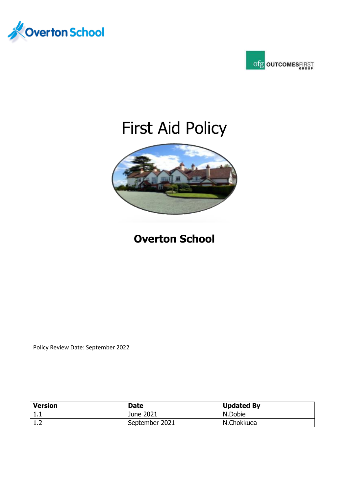



# First Aid Policy



# **Overton School**

Policy Review Date: September 2022

| <b>Version</b> | <b>Date</b>    | <b>Updated By</b> |
|----------------|----------------|-------------------|
| ᆠᇵ             | June 2021      | N.Dobie           |
| ∸∙             | September 2021 | N.Chokkuea        |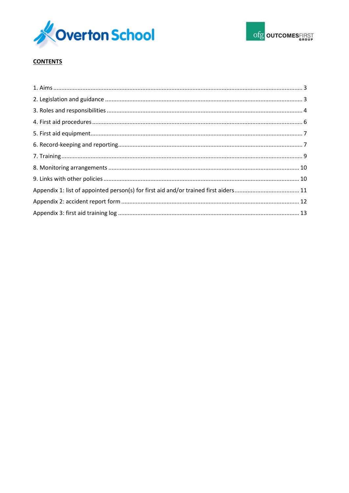



# **CONTENTS**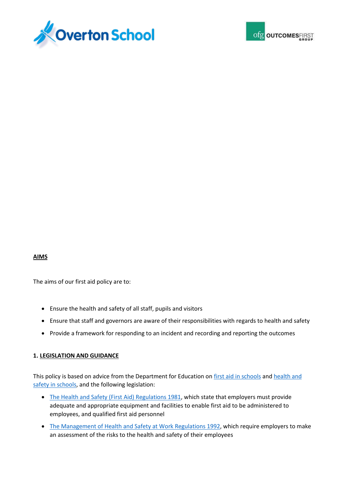



## **AIMS**

The aims of our first aid policy are to:

- Ensure the health and safety of all staff, pupils and visitors
- Ensure that staff and governors are aware of their responsibilities with regards to health and safety
- Provide a framework for responding to an incident and recording and reporting the outcomes

## **1. LEGISLATION AND GUIDANCE**

This policy is based on advice from the Department for Education on [first aid in schools](https://www.gov.uk/government/publications/first-aid-in-schools) and [health and](https://www.gov.uk/government/publications/health-and-safety-advice-for-schools)  [safety in schools,](https://www.gov.uk/government/publications/health-and-safety-advice-for-schools) and the following legislation:

- [The Health and Safety \(First Aid\) Regulations 1981,](http://www.legislation.gov.uk/uksi/1981/917/regulation/3/made) which state that employers must provide adequate and appropriate equipment and facilities to enable first aid to be administered to employees, and qualified first aid personnel
- [The Management of Health and Safety at Work Regulations 1992,](http://www.legislation.gov.uk/uksi/1992/2051/regulation/3/made) which require employers to make an assessment of the risks to the health and safety of their employees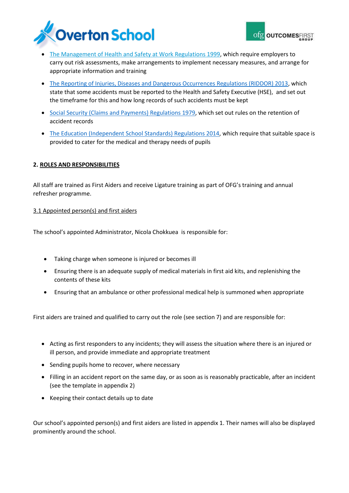

- [The Management of Health and Safety at Work Regulations 1999,](http://www.legislation.gov.uk/uksi/1999/3242/contents/made) which require employers to carry out risk assessments, make arrangements to implement necessary measures, and arrange for appropriate information and training
- [The Reporting of Injuries, Diseases and Dangerous Occurrences Regulations \(RIDDOR\) 2013,](http://www.legislation.gov.uk/uksi/2013/1471/schedule/1/paragraph/1/made) which state that some accidents must be reported to the Health and Safety Executive (HSE), and set out the timeframe for this and how long records of such accidents must be kept
- [Social Security \(Claims and Payments\) Regulations](http://www.legislation.gov.uk/uksi/1979/628) 1979, which set out rules on the retention of accident records
- [The Education \(Independent School Standards\) Regulations 2014,](http://www.legislation.gov.uk/uksi/2014/3283/schedule/made) which require that suitable space is provided to cater for the medical and therapy needs of pupils

# **2. ROLES AND RESPONSIBILITIES**

All staff are trained as First Aiders and receive Ligature training as part of OFG's training and annual refresher programme.

## 3.1 Appointed person(s) and first aiders

The school's appointed Administrator, Nicola Chokkuea is responsible for:

- Taking charge when someone is injured or becomes ill
- Ensuring there is an adequate supply of medical materials in first aid kits, and replenishing the contents of these kits
- Ensuring that an ambulance or other professional medical help is summoned when appropriate

First aiders are trained and qualified to carry out the role (see section 7) and are responsible for:

- Acting as first responders to any incidents; they will assess the situation where there is an injured or ill person, and provide immediate and appropriate treatment
- Sending pupils home to recover, where necessary
- Filling in an accident report on the same day, or as soon as is reasonably practicable, after an incident (see the template in appendix 2)
- Keeping their contact details up to date

Our school's appointed person(s) and first aiders are listed in appendix 1. Their names will also be displayed prominently around the school.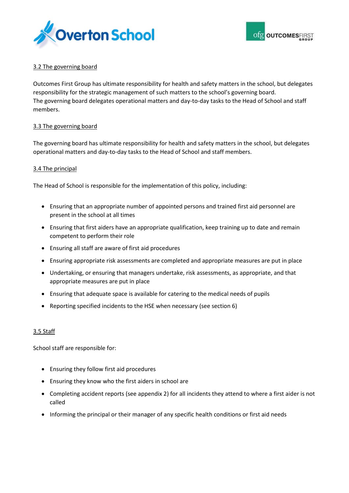



# 3.2 The governing board

Outcomes First Group has ultimate responsibility for health and safety matters in the school, but delegates responsibility for the strategic management of such matters to the school's governing board. The governing board delegates operational matters and day-to-day tasks to the Head of School and staff members.

## 3.3 The governing board

The governing board has ultimate responsibility for health and safety matters in the school, but delegates operational matters and day-to-day tasks to the Head of School and staff members.

## 3.4 The principal

The Head of School is responsible for the implementation of this policy, including:

- Ensuring that an appropriate number of appointed persons and trained first aid personnel are present in the school at all times
- Ensuring that first aiders have an appropriate qualification, keep training up to date and remain competent to perform their role
- Ensuring all staff are aware of first aid procedures
- Ensuring appropriate risk assessments are completed and appropriate measures are put in place
- Undertaking, or ensuring that managers undertake, risk assessments, as appropriate, and that appropriate measures are put in place
- Ensuring that adequate space is available for catering to the medical needs of pupils
- Reporting specified incidents to the HSE when necessary (see section 6)

## 3.5 Staff

School staff are responsible for:

- Ensuring they follow first aid procedures
- Ensuring they know who the first aiders in school are
- Completing accident reports (see appendix 2) for all incidents they attend to where a first aider is not called
- Informing the principal or their manager of any specific health conditions or first aid needs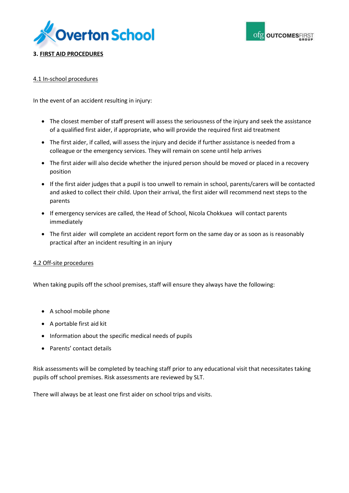



# **3. FIRST AID PROCEDURES**

# 4.1 In-school procedures

In the event of an accident resulting in injury:

- The closest member of staff present will assess the seriousness of the injury and seek the assistance of a qualified first aider, if appropriate, who will provide the required first aid treatment
- The first aider, if called, will assess the injury and decide if further assistance is needed from a colleague or the emergency services. They will remain on scene until help arrives
- The first aider will also decide whether the injured person should be moved or placed in a recovery position
- If the first aider judges that a pupil is too unwell to remain in school, parents/carers will be contacted and asked to collect their child. Upon their arrival, the first aider will recommend next steps to the parents
- If emergency services are called, the Head of School, Nicola Chokkuea will contact parents immediately
- The first aider will complete an accident report form on the same day or as soon as is reasonably practical after an incident resulting in an injury

## 4.2 Off-site procedures

When taking pupils off the school premises, staff will ensure they always have the following:

- A school mobile phone
- A portable first aid kit
- Information about the specific medical needs of pupils
- Parents' contact details

Risk assessments will be completed by teaching staff prior to any educational visit that necessitates taking pupils off school premises. Risk assessments are reviewed by SLT.

There will always be at least one first aider on school trips and visits.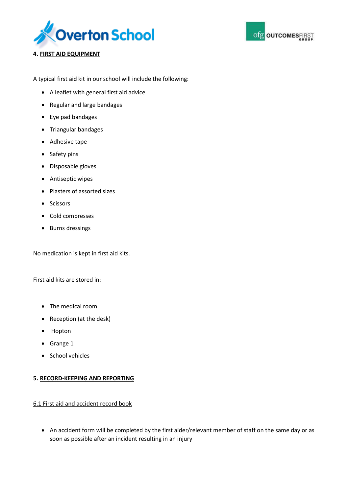



# **4. FIRST AID EQUIPMENT**

A typical first aid kit in our school will include the following:

- A leaflet with general first aid advice
- Regular and large bandages
- Eye pad bandages
- Triangular bandages
- Adhesive tape
- Safety pins
- Disposable gloves
- Antiseptic wipes
- Plasters of assorted sizes
- Scissors
- Cold compresses
- Burns dressings

No medication is kept in first aid kits.

First aid kits are stored in:

- The medical room
- Reception (at the desk)
- Hopton
- Grange 1
- School vehicles

## **5. RECORD-KEEPING AND REPORTING**

## 6.1 First aid and accident record book

 An accident form will be completed by the first aider/relevant member of staff on the same day or as soon as possible after an incident resulting in an injury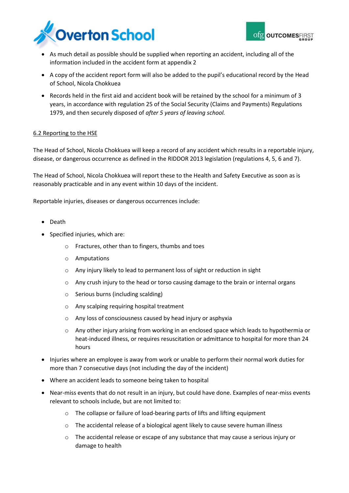



- As much detail as possible should be supplied when reporting an accident, including all of the information included in the accident form at appendix 2
- A copy of the accident report form will also be added to the pupil's educational record by the Head of School, Nicola Chokkuea
- Records held in the first aid and accident book will be retained by the school for a minimum of 3 years, in accordance with regulation 25 of the Social Security (Claims and Payments) Regulations 1979, and then securely disposed of *after 5 years of leaving school.*

# 6.2 Reporting to the HSE

The Head of School, Nicola Chokkuea will keep a record of any accident which results in a reportable injury, disease, or dangerous occurrence as defined in the RIDDOR 2013 legislation (regulations 4, 5, 6 and 7).

The Head of School, Nicola Chokkuea will report these to the Health and Safety Executive as soon as is reasonably practicable and in any event within 10 days of the incident.

Reportable injuries, diseases or dangerous occurrences include:

- Death
- Specified injuries, which are:
	- o Fractures, other than to fingers, thumbs and toes
	- o Amputations
	- o Any injury likely to lead to permanent loss of sight or reduction in sight
	- $\circ$  Any crush injury to the head or torso causing damage to the brain or internal organs
	- o Serious burns (including scalding)
	- o Any scalping requiring hospital treatment
	- o Any loss of consciousness caused by head injury or asphyxia
	- $\circ$  Any other injury arising from working in an enclosed space which leads to hypothermia or heat-induced illness, or requires resuscitation or admittance to hospital for more than 24 hours
- Injuries where an employee is away from work or unable to perform their normal work duties for more than 7 consecutive days (not including the day of the incident)
- Where an accident leads to someone being taken to hospital
- Near-miss events that do not result in an injury, but could have done. Examples of near-miss events relevant to schools include, but are not limited to:
	- o The collapse or failure of load-bearing parts of lifts and lifting equipment
	- The accidental release of a biological agent likely to cause severe human illness
	- o The accidental release or escape of any substance that may cause a serious injury or damage to health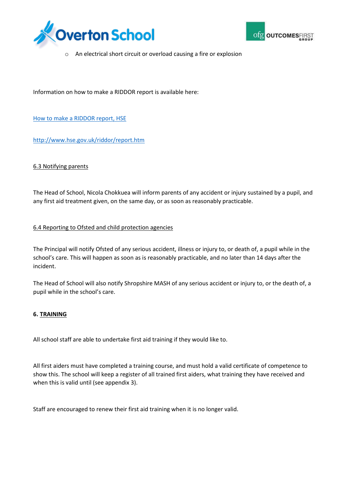



o An electrical short circuit or overload causing a fire or explosion

Information on how to make a RIDDOR report is available here:

[How to make a RIDDOR report, HSE](http://www.hse.gov.uk/riddor/report.htm)

<http://www.hse.gov.uk/riddor/report.htm>

## 6.3 Notifying parents

The Head of School, Nicola Chokkuea will inform parents of any accident or injury sustained by a pupil, and any first aid treatment given, on the same day, or as soon as reasonably practicable.

## 6.4 Reporting to Ofsted and child protection agencies

The Principal will notify Ofsted of any serious accident, illness or injury to, or death of, a pupil while in the school's care. This will happen as soon as is reasonably practicable, and no later than 14 days after the incident.

The Head of School will also notify Shropshire MASH of any serious accident or injury to, or the death of, a pupil while in the school's care.

## **6. TRAINING**

All school staff are able to undertake first aid training if they would like to.

All first aiders must have completed a training course, and must hold a valid certificate of competence to show this. The school will keep a register of all trained first aiders, what training they have received and when this is valid until (see appendix 3).

Staff are encouraged to renew their first aid training when it is no longer valid.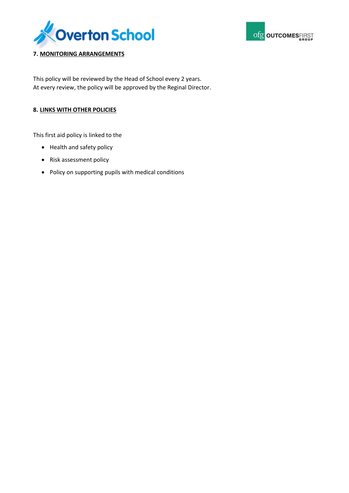



# **7. MONITORING ARRANGEMENTS**

This policy will be reviewed by the Head of School every 2 years. At every review, the policy will be approved by the Reginal Director.

# **8. LINKS WITH OTHER POLICIES**

This first aid policy is linked to the

- Health and safety policy
- Risk assessment policy
- Policy on supporting pupils with medical conditions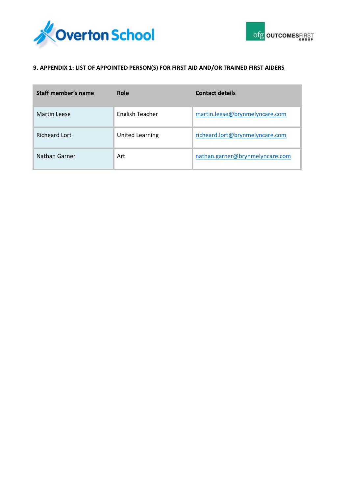



# **9. APPENDIX 1: LIST OF APPOINTED PERSON(S) FOR FIRST AID AND/OR TRAINED FIRST AIDERS**

| Staff member's name  | Role                   | <b>Contact details</b>          |
|----------------------|------------------------|---------------------------------|
| <b>Martin Leese</b>  | <b>English Teacher</b> | martin.leese@brynmelyncare.com  |
| <b>Richeard Lort</b> | <b>United Learning</b> | richeard.lort@brynmelyncare.com |
| Nathan Garner        | Art                    | nathan.garner@brynmelyncare.com |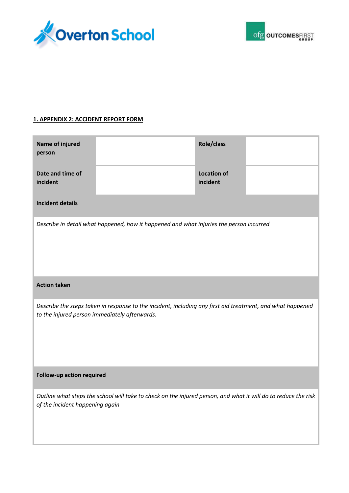



# **1. APPENDIX 2: ACCIDENT REPORT FORM**

| <b>Name of injured</b><br>person                                                                                                                            |                                                                                                                | Role/class                     |  |
|-------------------------------------------------------------------------------------------------------------------------------------------------------------|----------------------------------------------------------------------------------------------------------------|--------------------------------|--|
| Date and time of<br>incident                                                                                                                                |                                                                                                                | <b>Location of</b><br>incident |  |
| <b>Incident details</b>                                                                                                                                     |                                                                                                                |                                |  |
|                                                                                                                                                             | Describe in detail what happened, how it happened and what injuries the person incurred                        |                                |  |
| <b>Action taken</b>                                                                                                                                         |                                                                                                                |                                |  |
| Describe the steps taken in response to the incident, including any first aid treatment, and what happened<br>to the injured person immediately afterwards. |                                                                                                                |                                |  |
| Follow-up action required                                                                                                                                   |                                                                                                                |                                |  |
| of the incident happening again                                                                                                                             | Outline what steps the school will take to check on the injured person, and what it will do to reduce the risk |                                |  |